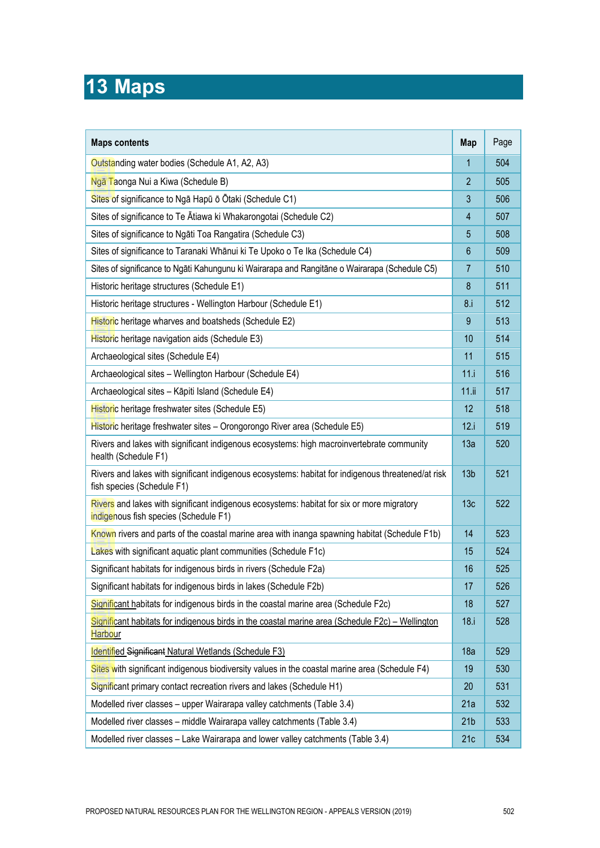## **13 Maps**

| <b>Maps contents</b>                                                                                                                | Map              | Page |
|-------------------------------------------------------------------------------------------------------------------------------------|------------------|------|
| Outstanding water bodies (Schedule A1, A2, A3)                                                                                      | 1                | 504  |
| Ngā Taonga Nui a Kiwa (Schedule B)                                                                                                  | $\overline{2}$   | 505  |
| Sites of significance to Nga Hapū ō Ōtaki (Schedule C1)                                                                             | 3                | 506  |
| Sites of significance to Te Atiawa ki Whakarongotai (Schedule C2)                                                                   | $\overline{4}$   | 507  |
| Sites of significance to Ngāti Toa Rangatira (Schedule C3)                                                                          | 5                | 508  |
| Sites of significance to Taranaki Whānui ki Te Upoko o Te Ika (Schedule C4)                                                         | $6\phantom{1}$   | 509  |
| Sites of significance to Ngāti Kahungunu ki Wairarapa and Rangitāne o Wairarapa (Schedule C5)                                       | $\overline{7}$   | 510  |
| Historic heritage structures (Schedule E1)                                                                                          | $\boldsymbol{8}$ | 511  |
| Historic heritage structures - Wellington Harbour (Schedule E1)                                                                     | 8.1              | 512  |
| Historic heritage wharves and boatsheds (Schedule E2)                                                                               | 9                | 513  |
| Historic heritage navigation aids (Schedule E3)                                                                                     | 10               | 514  |
| Archaeological sites (Schedule E4)                                                                                                  | 11               | 515  |
| Archaeological sites - Wellington Harbour (Schedule E4)                                                                             | 11.i             | 516  |
| Archaeological sites - Kāpiti Island (Schedule E4)                                                                                  | 11.ii            | 517  |
| Historic heritage freshwater sites (Schedule E5)                                                                                    | 12               | 518  |
| Historic heritage freshwater sites - Orongorongo River area (Schedule E5)                                                           | 12.i             | 519  |
| Rivers and lakes with significant indigenous ecosystems: high macroinvertebrate community<br>health (Schedule F1)                   | 13a              | 520  |
| Rivers and lakes with significant indigenous ecosystems: habitat for indigenous threatened/at risk<br>fish species (Schedule F1)    | 13 <sub>b</sub>  | 521  |
| Rivers and lakes with significant indigenous ecosystems: habitat for six or more migratory<br>indigenous fish species (Schedule F1) | 13 <sub>c</sub>  | 522  |
| Known rivers and parts of the coastal marine area with inanga spawning habitat (Schedule F1b)                                       | 14               | 523  |
| Lakes with significant aquatic plant communities (Schedule F1c)                                                                     | 15               | 524  |
| Significant habitats for indigenous birds in rivers (Schedule F2a)                                                                  | 16               | 525  |
| Significant habitats for indigenous birds in lakes (Schedule F2b)                                                                   | 17               | 526  |
| Significant habitats for indigenous birds in the coastal marine area (Schedule F2c)                                                 | 18               | 527  |
| Significant habitats for indigenous birds in the coastal marine area (Schedule F2c) - Wellington<br><b>Harbour</b>                  | 18.i             | 528  |
| Identified Significant Natural Wetlands (Schedule F3)                                                                               | 18a              | 529  |
| Sites with significant indigenous biodiversity values in the coastal marine area (Schedule F4)                                      | 19               | 530  |
| Significant primary contact recreation rivers and lakes (Schedule H1)                                                               | 20               | 531  |
| Modelled river classes - upper Wairarapa valley catchments (Table 3.4)                                                              | 21a              | 532  |
| Modelled river classes - middle Wairarapa valley catchments (Table 3.4)                                                             | 21 <sub>b</sub>  | 533  |
| Modelled river classes - Lake Wairarapa and lower valley catchments (Table 3.4)                                                     | 21c              | 534  |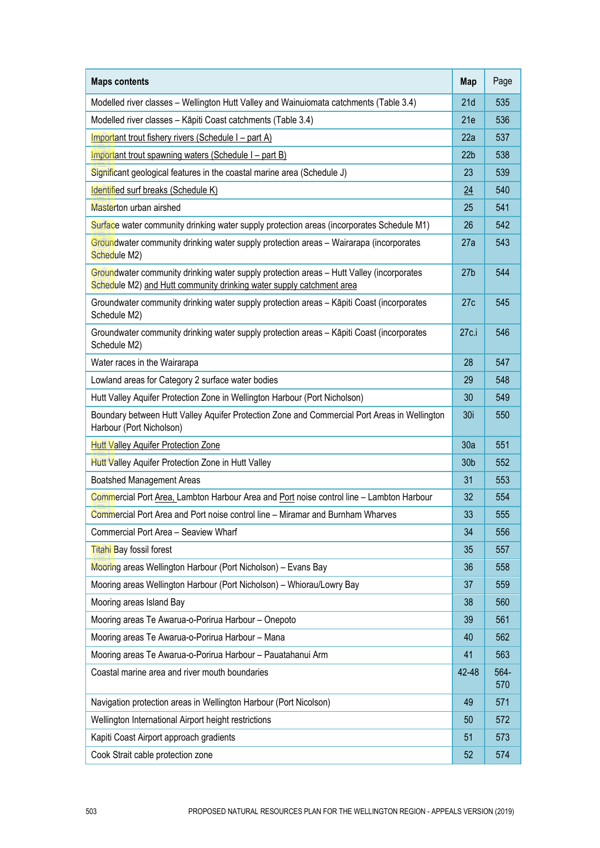| <b>Maps contents</b>                                                                                                                                             | <b>Map</b>      | Page        |
|------------------------------------------------------------------------------------------------------------------------------------------------------------------|-----------------|-------------|
| Modelled river classes - Wellington Hutt Valley and Wainuiomata catchments (Table 3.4)                                                                           | 21d             | 535         |
| Modelled river classes - Kāpiti Coast catchments (Table 3.4)                                                                                                     | 21e             | 536         |
| Important trout fishery rivers (Schedule I - part A)                                                                                                             | 22a             | 537         |
| Important trout spawning waters (Schedule I – part B)                                                                                                            | 22 <sub>b</sub> | 538         |
| Significant geological features in the coastal marine area (Schedule J)                                                                                          | 23              | 539         |
| Identified surf breaks (Schedule K)                                                                                                                              | $\overline{24}$ | 540         |
| Masterton urban airshed                                                                                                                                          | 25              | 541         |
| Surface water community drinking water supply protection areas (incorporates Schedule M1)                                                                        | 26              | 542         |
| Groundwater community drinking water supply protection areas - Wairarapa (incorporates<br>Schedule M2)                                                           | 27a             | 543         |
| Groundwater community drinking water supply protection areas - Hutt Valley (incorporates<br>Schedule M2) and Hutt community drinking water supply catchment area | 27 <sub>b</sub> | 544         |
| Groundwater community drinking water supply protection areas - Kāpiti Coast (incorporates<br>Schedule M2)                                                        | 27c             | 545         |
| Groundwater community drinking water supply protection areas - Kāpiti Coast (incorporates<br>Schedule M2)                                                        | 27c.i           | 546         |
| Water races in the Wairarapa                                                                                                                                     | 28              | 547         |
| Lowland areas for Category 2 surface water bodies                                                                                                                | 29              | 548         |
| Hutt Valley Aquifer Protection Zone in Wellington Harbour (Port Nicholson)                                                                                       | 30              | 549         |
| Boundary between Hutt Valley Aquifer Protection Zone and Commercial Port Areas in Wellington<br>Harbour (Port Nicholson)                                         | 30i             | 550         |
| Hutt Valley Aquifer Protection Zone                                                                                                                              | 30a             | 551         |
| Hutt Valley Aquifer Protection Zone in Hutt Valley                                                                                                               | 30 <sub>b</sub> | 552         |
| <b>Boatshed Management Areas</b>                                                                                                                                 | 31              | 553         |
| Commercial Port Area, Lambton Harbour Area and Port noise control line - Lambton Harbour                                                                         | 32              | 554         |
| Commercial Port Area and Port noise control line - Miramar and Burnham Wharves                                                                                   | 33              | 555         |
| Commercial Port Area - Seaview Wharf                                                                                                                             | 34              | 556         |
| Titahi Bay fossil forest                                                                                                                                         | 35              | 557         |
| Mooring areas Wellington Harbour (Port Nicholson) - Evans Bay                                                                                                    | 36              | 558         |
| Mooring areas Wellington Harbour (Port Nicholson) - Whiorau/Lowry Bay                                                                                            | 37              | 559         |
| Mooring areas Island Bay                                                                                                                                         | 38              | 560         |
| Mooring areas Te Awarua-o-Porirua Harbour - Onepoto                                                                                                              | 39              | 561         |
| Mooring areas Te Awarua-o-Porirua Harbour - Mana                                                                                                                 | 40              | 562         |
| Mooring areas Te Awarua-o-Porirua Harbour - Pauatahanui Arm                                                                                                      | 41              | 563         |
| Coastal marine area and river mouth boundaries                                                                                                                   | 42-48           | 564-<br>570 |
| Navigation protection areas in Wellington Harbour (Port Nicolson)                                                                                                | 49              | 571         |
| Wellington International Airport height restrictions                                                                                                             | 50              | 572         |
| Kapiti Coast Airport approach gradients                                                                                                                          | 51              | 573         |
| Cook Strait cable protection zone                                                                                                                                | 52              | 574         |